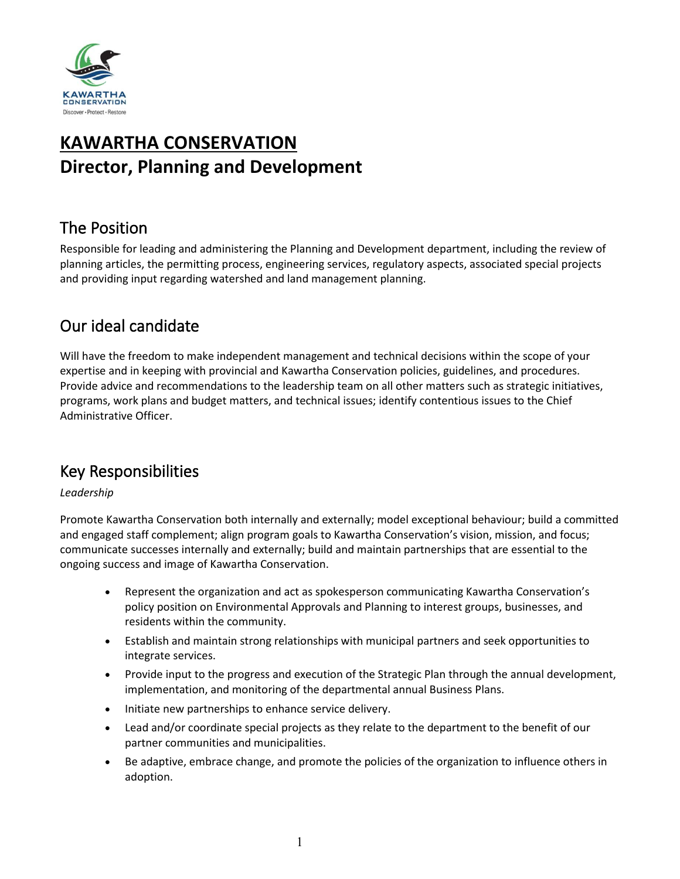

# **KAWARTHA CONSERVATION Director, Planning and Development**

## The Position

Responsible for leading and administering the Planning and Development department, including the review of planning articles, the permitting process, engineering services, regulatory aspects, associated special projects and providing input regarding watershed and land management planning.

## Our ideal candidate

Will have the freedom to make independent management and technical decisions within the scope of your expertise and in keeping with provincial and Kawartha Conservation policies, guidelines, and procedures. Provide advice and recommendations to the leadership team on all other matters such as strategic initiatives, programs, work plans and budget matters, and technical issues; identify contentious issues to the Chief Administrative Officer.

## Key Responsibilities

### *Leadership*

Promote Kawartha Conservation both internally and externally; model exceptional behaviour; build a committed and engaged staff complement; align program goals to Kawartha Conservation's vision, mission, and focus; communicate successes internally and externally; build and maintain partnerships that are essential to the ongoing success and image of Kawartha Conservation.

- Represent the organization and act as spokesperson communicating Kawartha Conservation's policy position on Environmental Approvals and Planning to interest groups, businesses, and residents within the community.
- Establish and maintain strong relationships with municipal partners and seek opportunities to integrate services.
- Provide input to the progress and execution of the Strategic Plan through the annual development, implementation, and monitoring of the departmental annual Business Plans.
- Initiate new partnerships to enhance service delivery.
- Lead and/or coordinate special projects as they relate to the department to the benefit of our partner communities and municipalities.
- Be adaptive, embrace change, and promote the policies of the organization to influence others in adoption.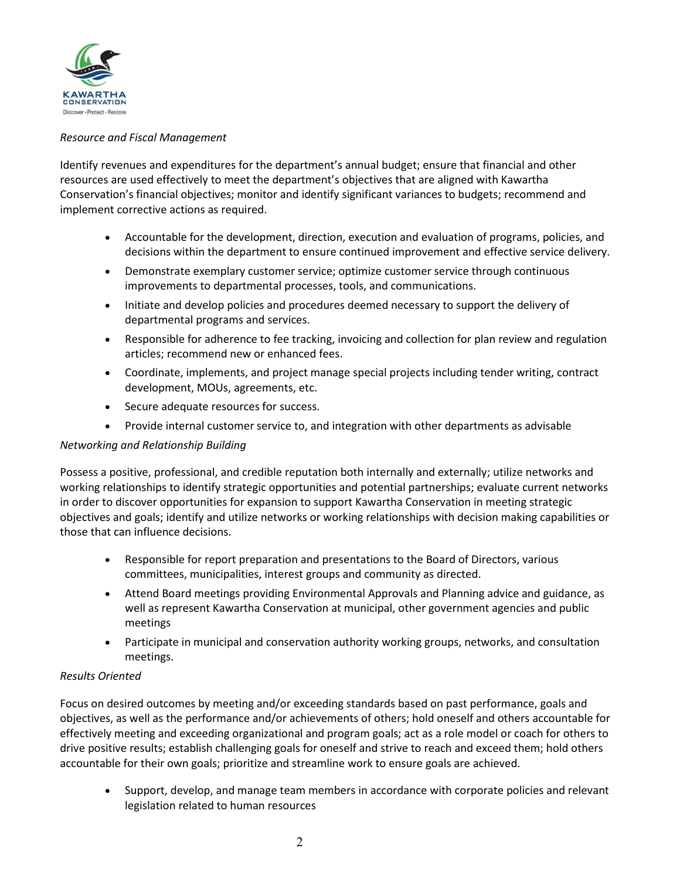

### *Resource and Fiscal Management*

Identify revenues and expenditures for the department's annual budget; ensure that financial and other resources are used effectively to meet the department's objectives that are aligned with Kawartha Conservation's financial objectives; monitor and identify significant variances to budgets; recommend and implement corrective actions as required.

- Accountable for the development, direction, execution and evaluation of programs, policies, and decisions within the department to ensure continued improvement and effective service delivery.
- Demonstrate exemplary customer service; optimize customer service through continuous improvements to departmental processes, tools, and communications.
- Initiate and develop policies and procedures deemed necessary to support the delivery of departmental programs and services.
- Responsible for adherence to fee tracking, invoicing and collection for plan review and regulation articles; recommend new or enhanced fees.
- Coordinate, implements, and project manage special projects including tender writing, contract development, MOUs, agreements, etc.
- Secure adequate resources for success.
- Provide internal customer service to, and integration with other departments as advisable

### *Networking and Relationship Building*

Possess a positive, professional, and credible reputation both internally and externally; utilize networks and working relationships to identify strategic opportunities and potential partnerships; evaluate current networks in order to discover opportunities for expansion to support Kawartha Conservation in meeting strategic objectives and goals; identify and utilize networks or working relationships with decision making capabilities or those that can influence decisions.

- Responsible for report preparation and presentations to the Board of Directors, various committees, municipalities, interest groups and community as directed.
- Attend Board meetings providing Environmental Approvals and Planning advice and guidance, as well as represent Kawartha Conservation at municipal, other government agencies and public meetings
- Participate in municipal and conservation authority working groups, networks, and consultation meetings.

### *Results Oriented*

Focus on desired outcomes by meeting and/or exceeding standards based on past performance, goals and objectives, as well as the performance and/or achievements of others; hold oneself and others accountable for effectively meeting and exceeding organizational and program goals; act as a role model or coach for others to drive positive results; establish challenging goals for oneself and strive to reach and exceed them; hold others accountable for their own goals; prioritize and streamline work to ensure goals are achieved.

• Support, develop, and manage team members in accordance with corporate policies and relevant legislation related to human resources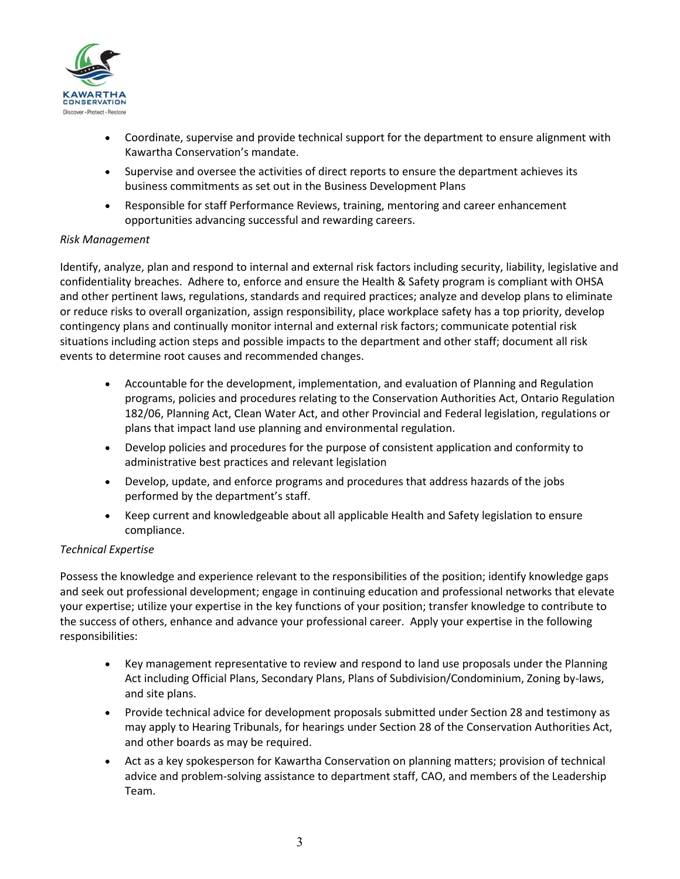

- Coordinate, supervise and provide technical support for the department to ensure alignment with Kawartha Conservation's mandate.
- Supervise and oversee the activities of direct reports to ensure the department achieves its business commitments as set out in the Business Development Plans
- Responsible for staff Performance Reviews, training, mentoring and career enhancement opportunities advancing successful and rewarding careers.

### *Risk Management*

Identify, analyze, plan and respond to internal and external risk factors including security, liability, legislative and confidentiality breaches. Adhere to, enforce and ensure the Health & Safety program is compliant with OHSA and other pertinent laws, regulations, standards and required practices; analyze and develop plans to eliminate or reduce risks to overall organization, assign responsibility, place workplace safety has a top priority, develop contingency plans and continually monitor internal and external risk factors; communicate potential risk situations including action steps and possible impacts to the department and other staff; document all risk events to determine root causes and recommended changes.

- Accountable for the development, implementation, and evaluation of Planning and Regulation programs, policies and procedures relating to the Conservation Authorities Act, Ontario Regulation 182/06, Planning Act, Clean Water Act, and other Provincial and Federal legislation, regulations or plans that impact land use planning and environmental regulation.
- Develop policies and procedures for the purpose of consistent application and conformity to administrative best practices and relevant legislation
- Develop, update, and enforce programs and procedures that address hazards of the jobs performed by the department's staff.
- Keep current and knowledgeable about all applicable Health and Safety legislation to ensure compliance.

### *Technical Expertise*

Possess the knowledge and experience relevant to the responsibilities of the position; identify knowledge gaps and seek out professional development; engage in continuing education and professional networks that elevate your expertise; utilize your expertise in the key functions of your position; transfer knowledge to contribute to the success of others, enhance and advance your professional career. Apply your expertise in the following responsibilities:

- Key management representative to review and respond to land use proposals under the Planning Act including Official Plans, Secondary Plans, Plans of Subdivision/Condominium, Zoning by-laws, and site plans.
- Provide technical advice for development proposals submitted under Section 28 and testimony as may apply to Hearing Tribunals, for hearings under Section 28 of the Conservation Authorities Act, and other boards as may be required.
- Act as a key spokesperson for Kawartha Conservation on planning matters; provision of technical advice and problem-solving assistance to department staff, CAO, and members of the Leadership Team.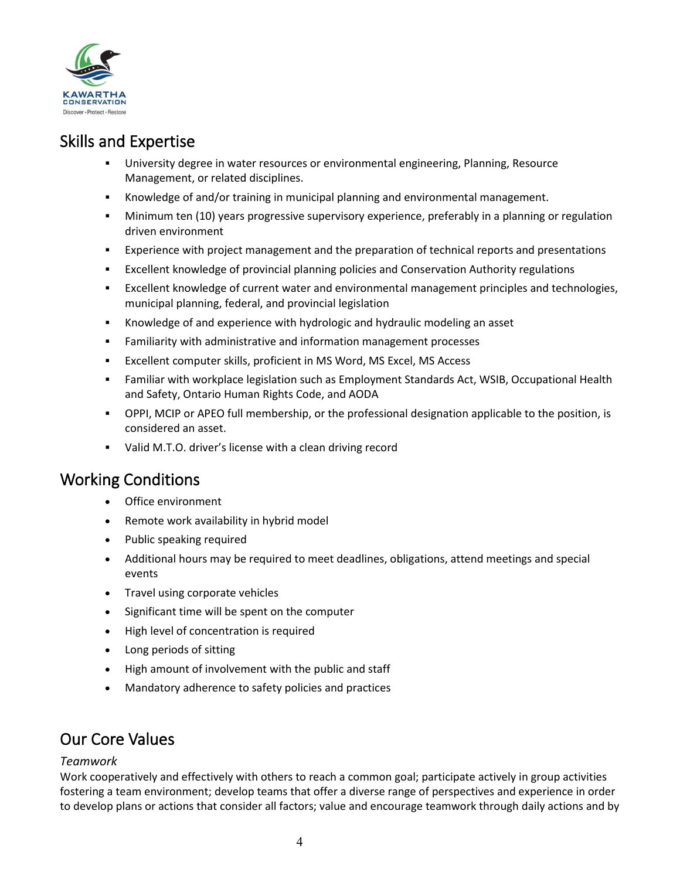

## Skills and Expertise

- University degree in water resources or environmental engineering, Planning, Resource Management, or related disciplines.
- Knowledge of and/or training in municipal planning and environmental management.
- Minimum ten (10) years progressive supervisory experience, preferably in a planning or regulation driven environment
- Experience with project management and the preparation of technical reports and presentations
- Excellent knowledge of provincial planning policies and Conservation Authority regulations
- Excellent knowledge of current water and environmental management principles and technologies, municipal planning, federal, and provincial legislation
- Knowledge of and experience with hydrologic and hydraulic modeling an asset
- Familiarity with administrative and information management processes
- Excellent computer skills, proficient in MS Word, MS Excel, MS Access
- Familiar with workplace legislation such as Employment Standards Act, WSIB, Occupational Health and Safety, Ontario Human Rights Code, and AODA
- OPPI, MCIP or APEO full membership, or the professional designation applicable to the position, is considered an asset.
- Valid M.T.O. driver's license with a clean driving record

### Working Conditions

- Office environment
- Remote work availability in hybrid model
- Public speaking required
- Additional hours may be required to meet deadlines, obligations, attend meetings and special events
- Travel using corporate vehicles
- Significant time will be spent on the computer
- High level of concentration is required
- Long periods of sitting
- High amount of involvement with the public and staff
- Mandatory adherence to safety policies and practices

### Our Core Values

### *Teamwork*

Work cooperatively and effectively with others to reach a common goal; participate actively in group activities fostering a team environment; develop teams that offer a diverse range of perspectives and experience in order to develop plans or actions that consider all factors; value and encourage teamwork through daily actions and by